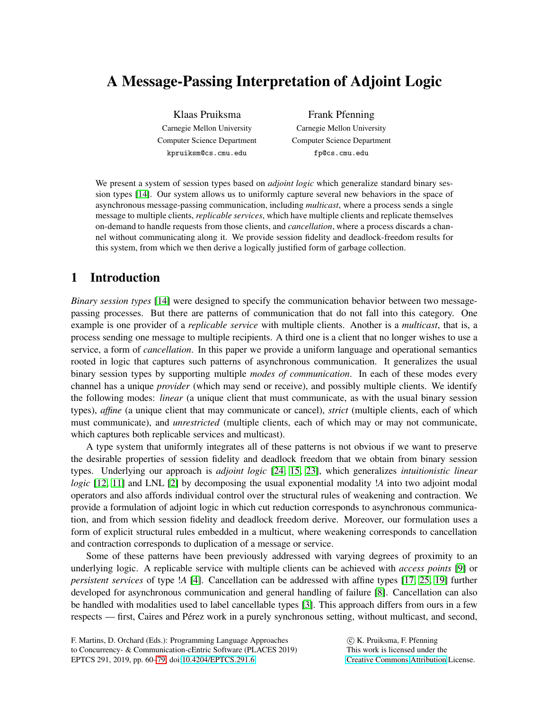# A Message-Passing Interpretation of Adjoint Logic

Klaas Pruiksma Carnegie Mellon University Computer Science Department kpruiksm@cs.cmu.edu

Frank Pfenning Carnegie Mellon University Computer Science Department fp@cs.cmu.edu

We present a system of session types based on *adjoint logic* which generalize standard binary session types [\[14\]](#page-10-0). Our system allows us to uniformly capture several new behaviors in the space of asynchronous message-passing communication, including *multicast*, where a process sends a single message to multiple clients, *replicable services*, which have multiple clients and replicate themselves on-demand to handle requests from those clients, and *cancellation*, where a process discards a channel without communicating along it. We provide session fidelity and deadlock-freedom results for this system, from which we then derive a logically justified form of garbage collection.

## 1 Introduction

*Binary session types* [\[14\]](#page-10-0) were designed to specify the communication behavior between two messagepassing processes. But there are patterns of communication that do not fall into this category. One example is one provider of a *replicable service* with multiple clients. Another is a *multicast*, that is, a process sending one message to multiple recipients. A third one is a client that no longer wishes to use a service, a form of *cancellation*. In this paper we provide a uniform language and operational semantics rooted in logic that captures such patterns of asynchronous communication. It generalizes the usual binary session types by supporting multiple *modes of communication*. In each of these modes every channel has a unique *provider* (which may send or receive), and possibly multiple clients. We identify the following modes: *linear* (a unique client that must communicate, as with the usual binary session types), *affine* (a unique client that may communicate or cancel), *strict* (multiple clients, each of which must communicate), and *unrestricted* (multiple clients, each of which may or may not communicate, which captures both replicable services and multicast).

A type system that uniformly integrates all of these patterns is not obvious if we want to preserve the desirable properties of session fidelity and deadlock freedom that we obtain from binary session types. Underlying our approach is *adjoint logic* [\[24,](#page-11-0) [15,](#page-10-1) [23\]](#page-11-1), which generalizes *intuitionistic linear logic* [\[12,](#page-10-2) [11\]](#page-10-3) and LNL [\[2\]](#page-10-4) by decomposing the usual exponential modality *!A* into two adjoint modal operators and also affords individual control over the structural rules of weakening and contraction. We provide a formulation of adjoint logic in which cut reduction corresponds to asynchronous communication, and from which session fidelity and deadlock freedom derive. Moreover, our formulation uses a form of explicit structural rules embedded in a multicut, where weakening corresponds to cancellation and contraction corresponds to duplication of a message or service.

Some of these patterns have been previously addressed with varying degrees of proximity to an underlying logic. A replicable service with multiple clients can be achieved with *access points* [\[9\]](#page-10-5) or *persistent services* of type !*A* [\[4\]](#page-10-6). Cancellation can be addressed with affine types [\[17,](#page-10-7) [25,](#page-11-2) [19\]](#page-11-3) further developed for asynchronous communication and general handling of failure [\[8\]](#page-10-8). Cancellation can also be handled with modalities used to label cancellable types [\[3\]](#page-10-9). This approach differs from ours in a few respects — first, Caires and Pérez work in a purely synchronous setting, without multicast, and second,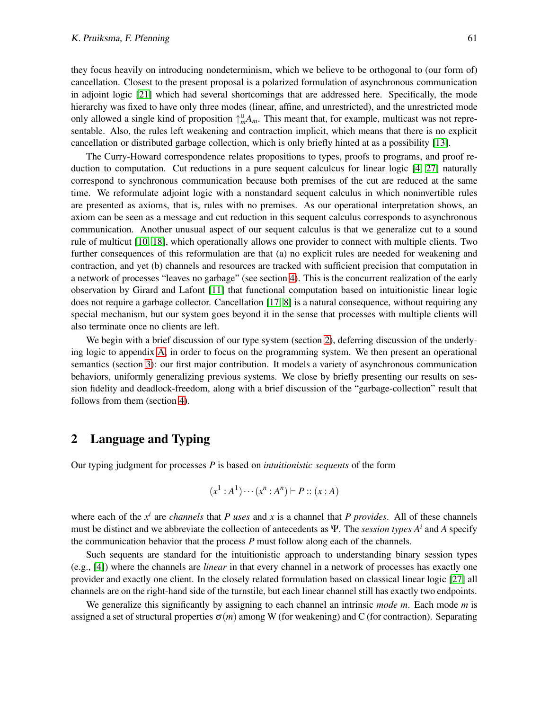they focus heavily on introducing nondeterminism, which we believe to be orthogonal to (our form of) cancellation. Closest to the present proposal is a polarized formulation of asynchronous communication in adjoint logic [\[21\]](#page-11-4) which had several shortcomings that are addressed here. Specifically, the mode hierarchy was fixed to have only three modes (linear, affine, and unrestricted), and the unrestricted mode only allowed a single kind of proposition  $\uparrow_m^{\mathsf{U}} A_m$ . This meant that, for example, multicast was not representable. Also, the rules left weakening and contraction implicit, which means that there is no explicit cancellation or distributed garbage collection, which is only briefly hinted at as a possibility [\[13\]](#page-10-10).

The Curry-Howard correspondence relates propositions to types, proofs to programs, and proof reduction to computation. Cut reductions in a pure sequent calculcus for linear logic [\[4,](#page-10-6) [27\]](#page-11-5) naturally correspond to synchronous communication because both premises of the cut are reduced at the same time. We reformulate adjoint logic with a nonstandard sequent calculus in which noninvertible rules are presented as axioms, that is, rules with no premises. As our operational interpretation shows, an axiom can be seen as a message and cut reduction in this sequent calculus corresponds to asynchronous communication. Another unusual aspect of our sequent calculus is that we generalize cut to a sound rule of multicut [\[10,](#page-10-11) [18\]](#page-11-6), which operationally allows one provider to connect with multiple clients. Two further consequences of this reformulation are that (a) no explicit rules are needed for weakening and contraction, and yet (b) channels and resources are tracked with sufficient precision that computation in a network of processes "leaves no garbage" (see section [4\)](#page-7-0). This is the concurrent realization of the early observation by Girard and Lafont [\[11\]](#page-10-3) that functional computation based on intuitionistic linear logic does not require a garbage collector. Cancellation [\[17,](#page-10-7) [8\]](#page-10-8) is a natural consequence, without requiring any special mechanism, but our system goes beyond it in the sense that processes with multiple clients will also terminate once no clients are left.

We begin with a brief discussion of our type system (section [2\)](#page-1-0), deferring discussion of the underlying logic to appendix [A,](#page-11-7) in order to focus on the programming system. We then present an operational semantics (section [3\)](#page-4-0): our first major contribution. It models a variety of asynchronous communication behaviors, uniformly generalizing previous systems. We close by briefly presenting our results on session fidelity and deadlock-freedom, along with a brief discussion of the "garbage-collection" result that follows from them (section [4\)](#page-7-0).

## <span id="page-1-0"></span>2 Language and Typing

Our typing judgment for processes *P* is based on *intuitionistic sequents* of the form

$$
(x^1 : A^1) \cdots (x^n : A^n) \vdash P :: (x : A)
$$

where each of the  $x^i$  are *channels* that *P uses* and  $x$  is a channel that *P provides*. All of these channels must be distinct and we abbreviate the collection of antecedents as Ψ. The *session types A<sup>i</sup>* and *A* specify the communication behavior that the process *P* must follow along each of the channels.

Such sequents are standard for the intuitionistic approach to understanding binary session types (e.g., [\[4\]](#page-10-6)) where the channels are *linear* in that every channel in a network of processes has exactly one provider and exactly one client. In the closely related formulation based on classical linear logic [\[27\]](#page-11-5) all channels are on the right-hand side of the turnstile, but each linear channel still has exactly two endpoints.

We generalize this significantly by assigning to each channel an intrinsic *mode m*. Each mode *m* is assigned a set of structural properties  $\sigma(m)$  among W (for weakening) and C (for contraction). Separating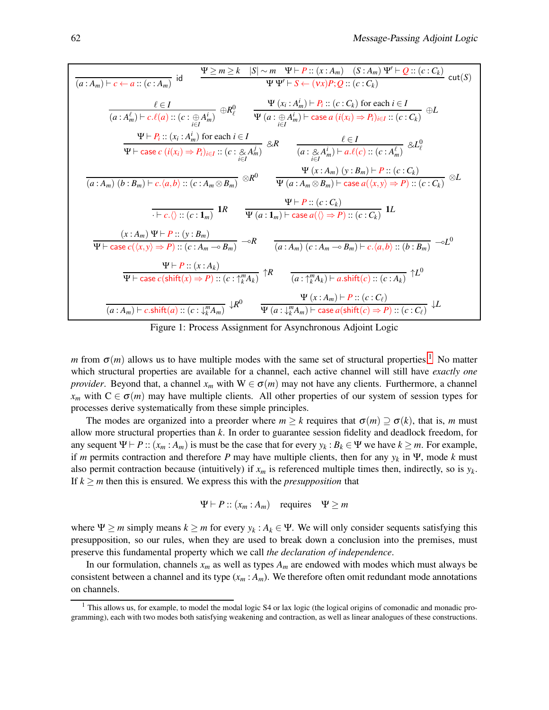<span id="page-2-1"></span>
$$
\frac{\Psi \geq m \geq k \quad |S| \sim m \quad \Psi \vdash P::(x:A_m) \quad (S:A_m) \quad \Psi' \vdash Q::(c:C_k) \quad \text{cut}(S) \quad \text{cut}(S) \quad \text{cut}(S) \quad \text{wt}(S) \quad \text{wt}(S) \quad \text{wt}(S) \quad \text{wt}(S) \quad \text{wt}(S) \quad \text{wt}(S) \quad \text{wt}(S) \quad \text{wt}(S) \quad \text{wt}(S) \quad \text{wt}(S) \quad \text{wt}(S) \quad \text{wt}(S) \quad \text{wt}(S) \quad \text{wt}(S) \quad \text{wt}(S) \quad \text{wt}(S) \quad \text{wt}(S) \quad \text{wt}(S) \quad \text{wt}(S) \quad \text{wt}(S) \quad \text{wt}(S) \quad \text{wt}(S) \quad \text{wt}(S) \quad \text{wt}(S) \quad \text{wt}(S) \quad \text{wt}(S) \quad \text{wt}(S) \quad \text{wt}(S) \quad \text{wt}(S) \quad \text{wt}(S) \quad \text{wt}(S) \quad \text{wt}(S) \quad \text{wt}(S) \quad \text{wt}(S) \quad \text{wt}(S) \quad \text{wt}(S) \quad \text{wt}(S) \quad \text{wt}(S) \quad \text{wt}(S) \quad \text{wt}(S) \quad \text{wt}(S) \quad \text{wt}(S) \quad \text{wt}(S) \quad \text{wt}(S) \quad \text{wt}(S) \quad \text{wt}(S) \quad \text{wt}(S) \quad \text{wt}(S) \quad \text{wt}(S) \quad \text{wt}(S) \quad \text{wt}(S) \quad \text{wt}(S) \quad \text{wt}(S) \quad \text{wt}(S) \quad \text{wt}(S) \quad \text{wt}(S) \quad \text{wt}(S) \quad \text{wt}(S) \quad \text{wt}(S) \quad \text{wt}(S) \quad \text{wt}(S) \quad \text{wt}(S) \quad \text{wt}(S) \quad \text{wt}(S) \quad \text{wt}(S) \quad \text{wt}(S) \quad \text{wt}(S) \quad \text{wt}(S) \quad \text{wt}(S) \quad \text{wt}(S) \quad \text{wt}(S) \quad \text{wt}(S) \quad \text{wt}(S) \quad \text{wt}(S) \quad \text{wt}(S) \quad
$$

Figure 1: Process Assignment for Asynchronous Adjoint Logic

*m* from  $\sigma(m)$  allows us to have multiple modes with the same set of structural properties.<sup>[1](#page-2-0)</sup> No matter which structural properties are available for a channel, each active channel will still have *exactly one provider*. Beyond that, a channel  $x_m$  with  $W \in \sigma(m)$  may not have any clients. Furthermore, a channel  $x_m$  with  $C \in \sigma(m)$  may have multiple clients. All other properties of our system of session types for processes derive systematically from these simple principles.

The modes are organized into a preorder where  $m > k$  requires that  $\sigma(m) \supset \sigma(k)$ , that is, *m* must allow more structural properties than *k*. In order to guarantee session fidelity and deadlock freedom, for any sequent  $\Psi \vdash P :: (x_m : A_m)$  is must be the case that for every  $y_k : B_k \in \Psi$  we have  $k \ge m$ . For example, if *m* permits contraction and therefore *P* may have multiple clients, then for any *y<sup>k</sup>* in Ψ, mode *k* must also permit contraction because (intuitively) if  $x_m$  is referenced multiple times then, indirectly, so is  $y_k$ . If  $k \ge m$  then this is ensured. We express this with the *presupposition* that

$$
\Psi \vdash P :: (x_m : A_m)
$$
 requires  $\Psi \geq m$ 

where  $\Psi \ge m$  simply means  $k \ge m$  for every  $y_k : A_k \in \Psi$ . We will only consider sequents satisfying this presupposition, so our rules, when they are used to break down a conclusion into the premises, must preserve this fundamental property which we call *the declaration of independence*.

In our formulation, channels *x<sup>m</sup>* as well as types *A<sup>m</sup>* are endowed with modes which must always be consistent between a channel and its type  $(x_m : A_m)$ . We therefore often omit redundant mode annotations on channels.

<span id="page-2-0"></span><sup>&</sup>lt;sup>1</sup> This allows us, for example, to model the modal logic S4 or lax logic (the logical origins of comonadic and monadic programming), each with two modes both satisfying weakening and contraction, as well as linear analogues of these constructions.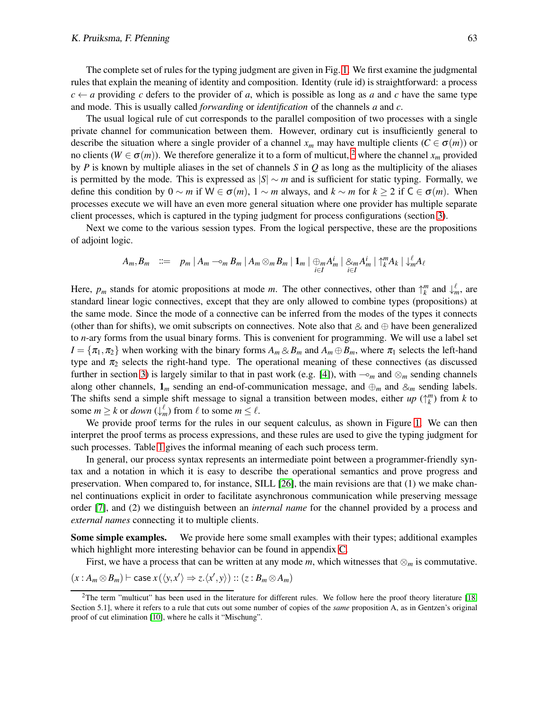The complete set of rules for the typing judgment are given in Fig. [1.](#page-2-1) We first examine the judgmental rules that explain the meaning of identity and composition. Identity (rule id) is straightforward: a process  $c \leftarrow a$  providing *c* defers to the provider of *a*, which is possible as long as *a* and *c* have the same type and mode. This is usually called *forwarding* or *identification* of the channels *a* and *c*.

The usual logical rule of cut corresponds to the parallel composition of two processes with a single private channel for communication between them. However, ordinary cut is insufficiently general to describe the situation where a single provider of a channel  $x_m$  may have multiple clients ( $C \in \sigma(m)$ ) or no clients ( $W \in \sigma(m)$ ). We therefore generalize it to a form of multicut, <sup>[2](#page-3-0)</sup> where the channel  $x_m$  provided by *P* is known by multiple aliases in the set of channels *S* in *Q* as long as the multiplicity of the aliases is permitted by the mode. This is expressed as |*S*| ∼ *m* and is sufficient for static typing. Formally, we define this condition by  $0 \sim m$  if  $W \in \sigma(m)$ ,  $1 \sim m$  always, and  $k \sim m$  for  $k \geq 2$  if  $C \in \sigma(m)$ . When processes execute we will have an even more general situation where one provider has multiple separate client processes, which is captured in the typing judgment for process configurations (section [3\)](#page-4-0).

Next we come to the various session types. From the logical perspective, these are the propositions of adjoint logic.

$$
A_m, B_m \ ::= \ p_m \mid A_m \negthinspace \negthinspace \negthinspace \negthinspace \negthinspace \negthinspace \negthinspace B_m \mid A_m \otimes_m B_m \mid \mathbf{1}_m \mid \bigoplus_{i \in I} A_m^i \mid \bigotimes_{i \in I} A_m^i \mid \biguparrow_k^m A_k \mid \biguparrow_k^m A_\ell
$$

Here,  $p_m$  stands for atomic propositions at mode *m*. The other connectives, other than  $\uparrow_k^m$  and  $\downarrow_m^{\ell}$ , are standard linear logic connectives, except that they are only allowed to combine types (propositions) at the same mode. Since the mode of a connective can be inferred from the modes of the types it connects (other than for shifts), we omit subscripts on connectives. Note also that  $\&$  and  $\oplus$  have been generalized to *n*-ary forms from the usual binary forms. This is convenient for programming. We will use a label set  $I = {\pi_1, \pi_2}$  when working with the binary forms  $A_m \otimes B_m$  and  $A_m \oplus B_m$ , where  $\pi_1$  selects the left-hand type and  $\pi_2$  selects the right-hand type. The operational meaning of these connectives (as discussed further in section [3\)](#page-4-0) is largely similar to that in past work (e.g. [\[4\]](#page-10-6)), with  $\sim_m$  and  $\otimes_m$  sending channels along other channels,  $\mathbf{1}_m$  sending an end-of-communication message, and  $\oplus_m$  and  $\otimes_m$  sending labels. The shifts send a simple shift message to signal a transition between modes, either  $up(\uparrow_k^m)$  from *k* to some  $m \geq k$  or *down*  $(\downarrow_m^{\ell})$  from  $\ell$  to some  $m \leq \ell$ .

We provide proof terms for the rules in our sequent calculus, as shown in Figure [1.](#page-2-1) We can then interpret the proof terms as process expressions, and these rules are used to give the typing judgment for such processes. Table [1](#page-4-1) gives the informal meaning of each such process term.

In general, our process syntax represents an intermediate point between a programmer-friendly syntax and a notation in which it is easy to describe the operational semantics and prove progress and preservation. When compared to, for instance, SILL [\[26\]](#page-11-8), the main revisions are that (1) we make channel continuations explicit in order to facilitate asynchronous communication while preserving message order [\[7\]](#page-10-12), and (2) we distinguish between an *internal name* for the channel provided by a process and *external names* connecting it to multiple clients.

Some simple examples. We provide here some small examples with their types; additional examples which highlight more interesting behavior can be found in appendix [C.](#page-17-0)

First, we have a process that can be written at any mode  $m$ , which witnesses that  $\otimes_m$  is commutative.

$$
(x:A_m \otimes B_m) \vdash \mathsf{case}\, x(\langle y,x' \rangle \Rightarrow z.\langle x',y \rangle) :: (z:B_m \otimes A_m)
$$

<span id="page-3-0"></span><sup>&</sup>lt;sup>2</sup>The term "multicut" has been used in the literature for different rules. We follow here the proof theory literature  $[18, 16]$  $[18, 16]$ Section 5.1], where it refers to a rule that cuts out some number of copies of the *same* proposition A, as in Gentzen's original proof of cut elimination [\[10\]](#page-10-11), where he calls it "Mischung".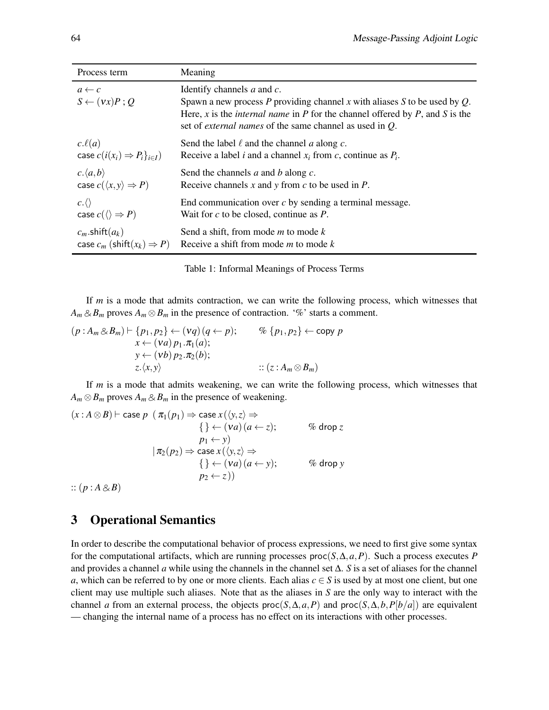<span id="page-4-1"></span>

| Process term                                 | Meaning                                                                                                                                                                                                                                                                  |
|----------------------------------------------|--------------------------------------------------------------------------------------------------------------------------------------------------------------------------------------------------------------------------------------------------------------------------|
| $a \leftarrow c$<br>$S \leftarrow (vx)P$ ; Q | Identify channels $a$ and $c$ .<br>Spawn a new process P providing channel x with aliases S to be used by $Q$ .<br>Here, x is the <i>internal name</i> in P for the channel offered by P, and S is the<br>set of <i>external names</i> of the same channel as used in Q. |
| $c.\ell(a)$                                  | Send the label $\ell$ and the channel a along c.                                                                                                                                                                                                                         |
| case $c(i(x_i) \Rightarrow P_i\}_{i \in I})$ | Receive a label <i>i</i> and a channel $x_i$ from <i>c</i> , continue as $P_i$ .                                                                                                                                                                                         |
| $c.\langle a,b\rangle$                       | Send the channels $a$ and $b$ along $c$ .                                                                                                                                                                                                                                |
| case $c(\langle x, y \rangle \Rightarrow P)$ | Receive channels x and y from c to be used in $P$ .                                                                                                                                                                                                                      |
| $c.\langle\rangle$                           | End communication over $c$ by sending a terminal message.                                                                                                                                                                                                                |
| case $c(\langle) \Rightarrow P)$             | Wait for $c$ to be closed, continue as $P$ .                                                                                                                                                                                                                             |
| $c_m$ .shift $(a_k)$                         | Send a shift, from mode $m$ to mode $k$                                                                                                                                                                                                                                  |
| case $c_m$ (shift( $x_k$ ) $\Rightarrow$ P)  | Receive a shift from mode $m$ to mode $k$                                                                                                                                                                                                                                |

Table 1: Informal Meanings of Process Terms

If *m* is a mode that admits contraction, we can write the following process, which witnesses that  $A_m \otimes B_m$  proves  $A_m \otimes B_m$  in the presence of contraction. '%' starts a comment.

$$
(p:A_m \otimes B_m) \vdash \{p_1, p_2\} \leftarrow (vq)(q \leftarrow p); \qquad \% \{p_1, p_2\} \leftarrow \text{copy } p
$$
  

$$
x \leftarrow (va) p_1. \pi_1(a);
$$
  

$$
y \leftarrow (vb) p_2. \pi_2(b);
$$
  

$$
z \cdot \langle x, y \rangle \qquad :: (z : A_m \otimes B_m)
$$

If *m* is a mode that admits weakening, we can write the following process, which witnesses that  $A_m \otimes B_m$  proves  $A_m \otimes B_m$  in the presence of weakening.

$$
(x:A \otimes B) \vdash \text{case } p \ (\pi_1(p_1) \Rightarrow \text{case } x(\langle y,z \rangle \Rightarrow
$$
  
\n
$$
\{\} \leftarrow (va) (a \leftarrow z); \qquad \% \text{ drop } z
$$
  
\n
$$
p_1 \leftarrow y)
$$
  
\n
$$
|\pi_2(p_2) \Rightarrow \text{case } x(\langle y,z \rangle \Rightarrow
$$
  
\n
$$
\{\} \leftarrow (va) (a \leftarrow y); \qquad \% \text{ drop } y
$$
  
\n
$$
p_2 \leftarrow z)
$$

 $:: (p:A\& B)$ 

## <span id="page-4-0"></span>3 Operational Semantics

In order to describe the computational behavior of process expressions, we need to first give some syntax for the computational artifacts, which are running processes  $proc(S, \Delta, a, P)$ . Such a process executes *P* and provides a channel *a* while using the channels in the channel set ∆. *S* is a set of aliases for the channel *a*, which can be referred to by one or more clients. Each alias  $c \in S$  is used by at most one client, but one client may use multiple such aliases. Note that as the aliases in *S* are the only way to interact with the channel *a* from an external process, the objects  $proc(S, \Delta, a, P)$  and  $proc(S, \Delta, b, P[b/a])$  are equivalent — changing the internal name of a process has no effect on its interactions with other processes.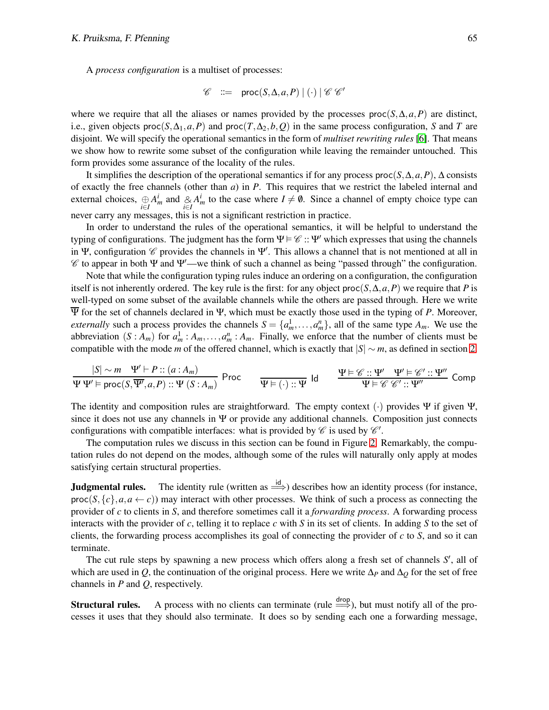A *process configuration* is a multiset of processes:

$$
\mathscr{C} \quad ::= \quad \text{proc}(S, \Delta, a, P) \mid (\cdot) \mid \mathscr{C} \mathscr{C}'
$$

where we require that all the aliases or names provided by the processes proc( $S, \Delta, a, P$ ) are distinct, i.e., given objects  $proc(S, \Delta_1, a, P)$  and  $proc(T, \Delta_2, b, Q)$  in the same process configuration, *S* and *T* are disjoint. We will specify the operational semantics in the form of *multiset rewriting rules* [\[6\]](#page-10-13). That means we show how to rewrite some subset of the configuration while leaving the remainder untouched. This form provides some assurance of the locality of the rules.

It simplifies the description of the operational semantics if for any process proc(*S*,∆,*a*,*P*), ∆ consists of exactly the free channels (other than *a*) in *P*. This requires that we restrict the labeled internal and external choices,  $\bigoplus_{i \in I} A_m^i$  and  $\bigotimes_{i \in I} A_m^i$  to the case where  $I \neq \emptyset$ . Since a channel of empty choice type can never carry any messages, this is not a significant restriction in practice.

In order to understand the rules of the operational semantics, it will be helpful to understand the typing of configurations. The judgment has the form  $\Psi \models \mathscr{C} :: \Psi'$  which expresses that using the channels in Ψ, configuration  $\mathscr C$  provides the channels in Ψ'. This allows a channel that is not mentioned at all in  $\mathscr C$  to appear in both  $\Psi$  and  $\Psi'$ —we think of such a channel as being "passed through" the configuration.

Note that while the configuration typing rules induce an ordering on a configuration, the configuration itself is not inherently ordered. The key rule is the first: for any object proc( $S, \Delta, a, P$ ) we require that *P* is well-typed on some subset of the available channels while the others are passed through. Here we write  $\overline{\Psi}$  for the set of channels declared in Ψ, which must be exactly those used in the typing of P. Moreover, *externally* such a process provides the channels  $S = \{a_m^1, \ldots, a_m^n\}$ , all of the same type  $A_m$ . We use the abbreviation  $(S : A_m)$  for  $a_m^1 : A_m, \ldots, a_m^n : A_m$ . Finally, we enforce that the number of clients must be compatible with the mode *m* of the offered channel, which is exactly that  $|S| \sim m$ , as defined in section [2.](#page-1-0)

$$
\frac{|S| \sim m \quad \Psi' \vdash P :: (a : A_m)}{\Psi \Psi' \vDash \mathsf{proc}(S, \overline{\Psi'}, a, P) :: \Psi (S : A_m)} \text{ Proc} \qquad \frac{\Psi \vDash (\cdot) :: \Psi \text{ Id}}{\Psi \vDash (\cdot) :: \Psi} \text{ Id} \qquad \frac{\Psi \vDash \mathscr{C} :: \Psi' \quad \Psi' \vDash \mathscr{C}' :: \Psi''}{\Psi \vDash \mathscr{C} \mathscr{C}' :: \Psi''} \text{ Comp}
$$

The identity and composition rules are straightforward. The empty context (·) provides  $\Psi$  if given  $\Psi$ , since it does not use any channels in  $\Psi$  or provide any additional channels. Composition just connects configurations with compatible interfaces: what is provided by  $\mathscr C$  is used by  $\mathscr C'$ .

The computation rules we discuss in this section can be found in Figure [2.](#page-6-0) Remarkably, the computation rules do not depend on the modes, although some of the rules will naturally only apply at modes satisfying certain structural properties.

**Judgmental rules.** The identity rule (written as  $\stackrel{\text{id}}{\Longrightarrow}$ ) describes how an identity process (for instance,  $\text{proc}(S,\{c\},a,a \leftarrow c)$ ) may interact with other processes. We think of such a process as connecting the provider of *c* to clients in *S*, and therefore sometimes call it a *forwarding process*. A forwarding process interacts with the provider of *c*, telling it to replace *c* with *S* in its set of clients. In adding *S* to the set of clients, the forwarding process accomplishes its goal of connecting the provider of *c* to *S*, and so it can terminate.

The cut rule steps by spawning a new process which offers along a fresh set of channels S', all of which are used in *Q*, the continuation of the original process. Here we write ∆*<sup>P</sup>* and ∆*<sup>Q</sup>* for the set of free channels in *P* and *Q*, respectively.

**Structural rules.** A process with no clients can terminate (rule  $\stackrel{drop}{\Longrightarrow}$ ), but must notify all of the processes it uses that they should also terminate. It does so by sending each one a forwarding message,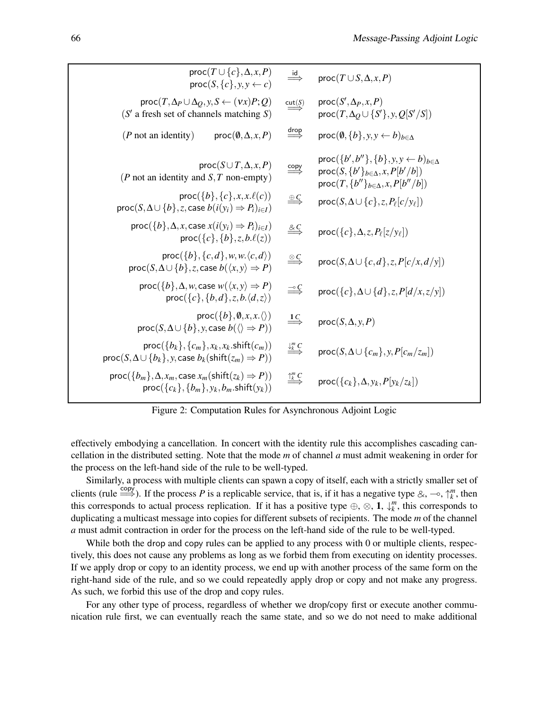<span id="page-6-0"></span>

| $proc(T \cup \{c\}, \Delta, x, P)$<br>$proc(S, \{c\}, y, y \leftarrow c)$                                                                              | $\stackrel{\mathsf{id}}{\Longrightarrow}$     | $proc(T \cup S, \Delta, x, P)$                                                                                                                                                                        |
|--------------------------------------------------------------------------------------------------------------------------------------------------------|-----------------------------------------------|-------------------------------------------------------------------------------------------------------------------------------------------------------------------------------------------------------|
| $proc(T, \Delta_P \cup \Delta_O, y, S \leftarrow (vx)P; Q)$<br>$(S'$ a fresh set of channels matching S)                                               | $\stackrel{\mathsf{cut}(S)}{\Longrightarrow}$ | $proc(S', \Delta_P, x, P)$<br>$proc(T, \Delta_O \cup \{S'\}, y, Q[S'/S])$                                                                                                                             |
| ( $P$ not an identity)<br>$proc(\emptyset, \Delta, x, P)$                                                                                              | $\overset{drop}{\Longrightarrow}$             | $\textsf{proc}(\emptyset, \{b\}, y, y \leftarrow b)_{b \in \Delta}$                                                                                                                                   |
| $proc(S \cup T, \Delta, x, P)$<br>( $P$ not an identity and $S$ , $T$ non-empty)                                                                       |                                               | proc({ <i>b'</i> , <i>b''</i> }, { <i>b</i> }, <i>y</i> , <i>y</i> ← <i>b</i> ) <sub><i>b</i>∈∆</sub><br>$proc(S, {b'}_{b \in \Delta}, x, P[b'/b])$<br>$proc(T, \{b''\}_{b \in \Delta}, x, P[b''/b])$ |
| $proc({b}, {c}, x, x.\ell(c))$<br>$\textsf{proc}(S, \Delta \cup \{b\}, z, \textsf{case } b(i(y_i) \Rightarrow P_i)_{i \in I})$                         | $\overset{\oplus C}{\Longrightarrow}$         | $proc(S, \Delta \cup \{c\}, z, P_{\ell}[c/y_{\ell}])$                                                                                                                                                 |
| $proc({b}, \Delta, x, case x(i(y_i) \Rightarrow P_i)_{i \in I})$<br>$proc({c}, {b}, z, b.\ell(z))$                                                     | $\overset{\& C}{\Longrightarrow}$             | $proc({c}, \Delta, z, P_{\ell}[z/y_{\ell}])$                                                                                                                                                          |
| $proc({b}, {c}, d), w, w, \langle c, d \rangle)$<br>$\textsf{proc}(S, \Delta \cup \{b\}, z, \textsf{case } b(\langle x, y \rangle \Rightarrow P)$      | $\overset{\otimes C}{\Longrightarrow}$        | $proc(S, \Delta \cup \{c, d\}, z, P[c/x, d/y])$                                                                                                                                                       |
| $proc({b}, \Delta, w, case w({\langle} x, y) \Rightarrow P)$<br>$proc({c}, {b}, d, z, b, \langle d, z \rangle)$                                        |                                               | $proc({c}, \Delta \cup \{d\}, z, P[d/x, z/y])$                                                                                                                                                        |
| $proc({b}, \emptyset, x, x, \langle \rangle)$<br>$proc(S, \Delta \cup \{b\}, y, case b(\langle \rangle \Rightarrow P))$                                | $\stackrel{1}{\Longrightarrow}$               | $proc(S, \Delta, y, P)$                                                                                                                                                                               |
| $proc({b_k}, {c_m}, x_k, x_k \text{.shift}(c_m))$<br>$\textsf{proc}(S, \Delta \cup \{b_k\}, y, \textsf{case } b_k(\textsf{shift}(z_m) \Rightarrow P))$ | $\stackrel{\downarrow^m}{\Longrightarrow}$    | $proc(S, \Delta \cup \{c_m\}, y, P[c_m/z_m])$                                                                                                                                                         |
| $proc({b_m}, \Delta, x_m, case x_m(shift(z_k) \Rightarrow P))$<br>$proc({c_k}, {b_m}, y_k, b_m.$ shift $(y_k))$                                        | $\stackrel{\uparrow^m}{\Longrightarrow}$      | $proc({c_k}, \Delta, y_k, P[y_k/z_k])$                                                                                                                                                                |
|                                                                                                                                                        |                                               |                                                                                                                                                                                                       |

Figure 2: Computation Rules for Asynchronous Adjoint Logic

effectively embodying a cancellation. In concert with the identity rule this accomplishes cascading cancellation in the distributed setting. Note that the mode *m* of channel *a* must admit weakening in order for the process on the left-hand side of the rule to be well-typed.

Similarly, a process with multiple clients can spawn a copy of itself, each with a strictly smaller set of clients (rule  $\xrightarrow{\text{copy}}$ ). If the process *P* is a replicable service, that is, if it has a negative type &, ⊸,  $\uparrow_k^m$ , then this corresponds to actual process replication. If it has a positive type  $\oplus$ ,  $\otimes$ , 1,  $\downarrow_k^m$ , this corresponds to duplicating a multicast message into copies for different subsets of recipients. The mode *m* of the channel *a* must admit contraction in order for the process on the left-hand side of the rule to be well-typed.

While both the drop and copy rules can be applied to any process with 0 or multiple clients, respectively, this does not cause any problems as long as we forbid them from executing on identity processes. If we apply drop or copy to an identity process, we end up with another process of the same form on the right-hand side of the rule, and so we could repeatedly apply drop or copy and not make any progress. As such, we forbid this use of the drop and copy rules.

For any other type of process, regardless of whether we drop/copy first or execute another communication rule first, we can eventually reach the same state, and so we do not need to make additional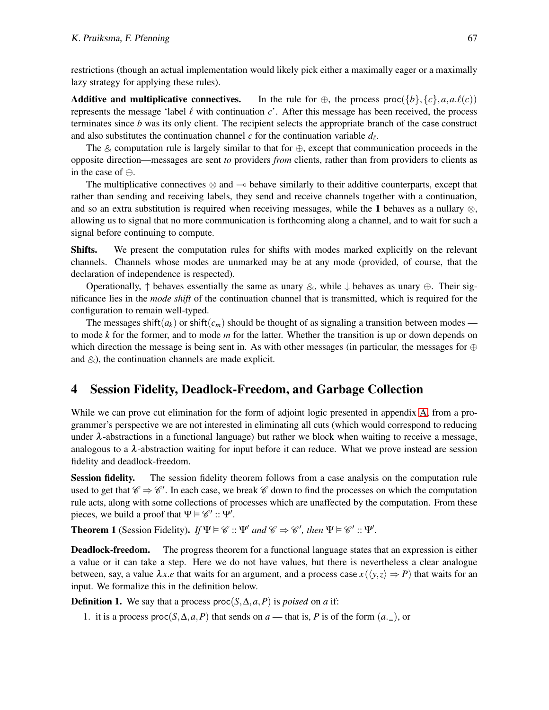restrictions (though an actual implementation would likely pick either a maximally eager or a maximally lazy strategy for applying these rules).

Additive and multiplicative connectives. In the rule for  $\oplus$ , the process proc({*b*}, {*c*},*a*,*a*. $\ell(c)$ ) represents the message 'label ℓ with continuation *c*'. After this message has been received, the process terminates since *b* was its only client. The recipient selects the appropriate branch of the case construct and also substitutes the continuation channel  $c$  for the continuation variable  $d_{\ell}$ .

The & computation rule is largely similar to that for  $\oplus$ , except that communication proceeds in the opposite direction—messages are sent *to* providers *from* clients, rather than from providers to clients as in the case of ⊕.

The multiplicative connectives  $\otimes$  and  $\sim$  behave similarly to their additive counterparts, except that rather than sending and receiving labels, they send and receive channels together with a continuation, and so an extra substitution is required when receiving messages, while the 1 behaves as a nullary  $\otimes$ , allowing us to signal that no more communication is forthcoming along a channel, and to wait for such a signal before continuing to compute.

Shifts. We present the computation rules for shifts with modes marked explicitly on the relevant channels. Channels whose modes are unmarked may be at any mode (provided, of course, that the declaration of independence is respected).

Operationally,  $\uparrow$  behaves essentially the same as unary  $\otimes$ , while  $\downarrow$  behaves as unary  $\oplus$ . Their significance lies in the *mode shift* of the continuation channel that is transmitted, which is required for the configuration to remain well-typed.

The messages shift( $a_k$ ) or shift( $c_m$ ) should be thought of as signaling a transition between modes to mode *k* for the former, and to mode *m* for the latter. Whether the transition is up or down depends on which direction the message is being sent in. As with other messages (in particular, the messages for  $oplus$ and  $\&$ ), the continuation channels are made explicit.

## <span id="page-7-0"></span>4 Session Fidelity, Deadlock-Freedom, and Garbage Collection

While we can prove cut elimination for the form of adjoint logic presented in appendix [A,](#page-11-7) from a programmer's perspective we are not interested in eliminating all cuts (which would correspond to reducing under  $\lambda$ -abstractions in a functional language) but rather we block when waiting to receive a message, analogous to a  $\lambda$ -abstraction waiting for input before it can reduce. What we prove instead are session fidelity and deadlock-freedom.

Session fidelity. The session fidelity theorem follows from a case analysis on the computation rule used to get that  $\mathscr{C} \Rightarrow \mathscr{C}'$ . In each case, we break  $\mathscr{C}$  down to find the processes on which the computation rule acts, along with some collections of processes which are unaffected by the computation. From these pieces, we build a proof that  $\Psi \models \mathscr{C}' :: \Psi'$ .

**Theorem 1** (Session Fidelity). *If*  $\Psi \models \mathcal{C} :: \Psi'$  *and*  $\mathcal{C} \Rightarrow \mathcal{C}'$ , *then*  $\Psi \models \mathcal{C}' :: \Psi'$ .

**Deadlock-freedom.** The progress theorem for a functional language states that an expression is either a value or it can take a step. Here we do not have values, but there is nevertheless a clear analogue between, say, a value  $\lambda x.e$  that waits for an argument, and a process case  $x(\langle y, z \rangle \Rightarrow P)$  that waits for an input. We formalize this in the definition below.

**Definition 1.** We say that a process proc( $S, \Delta, a, P$ ) is *poised* on *a* if:

1. it is a process proc $(S, \Delta, a, P)$  that sends on  $a$  — that is, P is of the form  $(a_-, )$ , or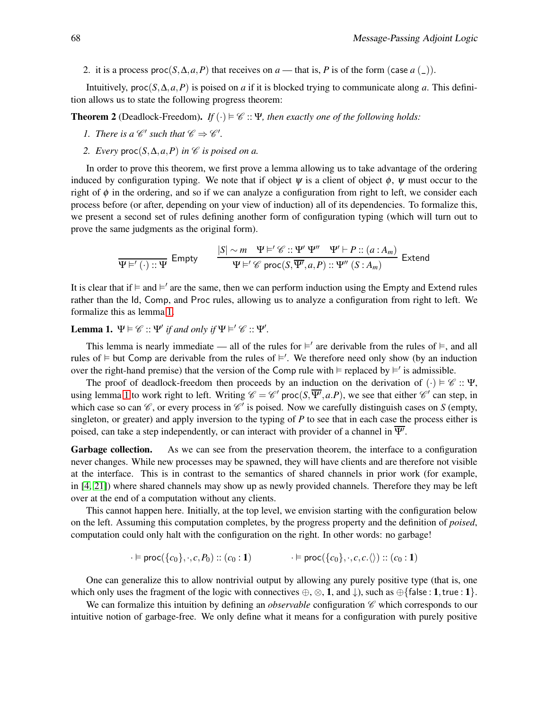2. it is a process proc( $S, \Delta, a, P$ ) that receives on *a* — that is, *P* is of the form (case *a* (\_)).

Intuitively,  $proc(S, \Delta, a, P)$  is poised on *a* if it is blocked trying to communicate along *a*. This definition allows us to state the following progress theorem:

**Theorem 2** (Deadlock-Freedom). *If*  $(\cdot) \models \mathcal{C} :: \Psi$ , then exactly one of the following holds:

- *1. There is a*  $\mathcal{C}'$  such that  $\mathcal{C} \Rightarrow \mathcal{C}'$ .
- 2. Every  $\text{proc}(S, \Delta, a, P)$  *in*  $\mathscr C$  *is poised on a.*

In order to prove this theorem, we first prove a lemma allowing us to take advantage of the ordering induced by configuration typing. We note that if object  $\psi$  is a client of object  $\phi$ ,  $\psi$  must occur to the right of  $\phi$  in the ordering, and so if we can analyze a configuration from right to left, we consider each process before (or after, depending on your view of induction) all of its dependencies. To formalize this, we present a second set of rules defining another form of configuration typing (which will turn out to prove the same judgments as the original form).

$$
\frac{|S| \sim m \quad \Psi \models' \mathscr{C} :: \Psi' \quad \Psi' \vdash P :: (a : A_m)}{\Psi \models' \mathscr{C} \text{ proc}(S, \overline{\Psi'}, a, P) :: \Psi'' \quad (S : A_m)} \text{ Extend}
$$

It is clear that if  $\models$  and  $\models'$  are the same, then we can perform induction using the Empty and Extend rules rather than the Id, Comp, and Proc rules, allowing us to analyze a configuration from right to left. We formalize this as lemma [1.](#page-8-0)

<span id="page-8-0"></span>**Lemma 1.**  $\Psi \models \mathcal{C} :: \Psi'$  if and only if  $\Psi \models' \mathcal{C} :: \Psi'.$ 

This lemma is nearly immediate — all of the rules for  $\models'$  are derivable from the rules of  $\models$ , and all rules of  $\models$  but Comp are derivable from the rules of  $\models'$ . We therefore need only show (by an induction over the right-hand premise) that the version of the Comp rule with  $\models$  replaced by  $\models'$  is admissible.

The proof of deadlock-freedom then proceeds by an induction on the derivation of (·)  $\vdash \mathscr{C} :: \Psi$ , using lemma [1](#page-8-0) to work right to left. Writing  $\mathscr{C} = \mathscr{C}'$  proc( $S, \overline{\Psi'}, a.P$ ), we see that either  $\mathscr{C}'$  can step, in which case so can  $\mathscr{C}$ , or every process in  $\mathscr{C}'$  is poised. Now we carefully distinguish cases on *S* (empty, singleton, or greater) and apply inversion to the typing of *P* to see that in each case the process either is poised, can take a step independently, or can interact with provider of a channel in  $\overline{\Psi'}$ .

Garbage collection. As we can see from the preservation theorem, the interface to a configuration never changes. While new processes may be spawned, they will have clients and are therefore not visible at the interface. This is in contrast to the semantics of shared channels in prior work (for example, in [\[4,](#page-10-6) [21\]](#page-11-4)) where shared channels may show up as newly provided channels. Therefore they may be left over at the end of a computation without any clients.

This cannot happen here. Initially, at the top level, we envision starting with the configuration below on the left. Assuming this computation completes, by the progress property and the definition of *poised*, computation could only halt with the configuration on the right. In other words: no garbage!

$$
\cdot \vDash \mathsf{proc}(\{c_0\}, \cdot, c, P_0) :: (c_0 : 1) \qquad \cdot \vDash \mathsf{proc}(\{c_0\}, \cdot, c, c.\langle) ) :: (c_0 : 1)
$$

One can generalize this to allow nontrivial output by allowing any purely positive type (that is, one which only uses the fragment of the logic with connectives  $\oplus$ ,  $\otimes$ , 1, and  $\downarrow$ ), such as  $\oplus$ {false : 1, true : 1}.

We can formalize this intuition by defining an *observable* configuration  $\mathscr C$  which corresponds to our intuitive notion of garbage-free. We only define what it means for a configuration with purely positive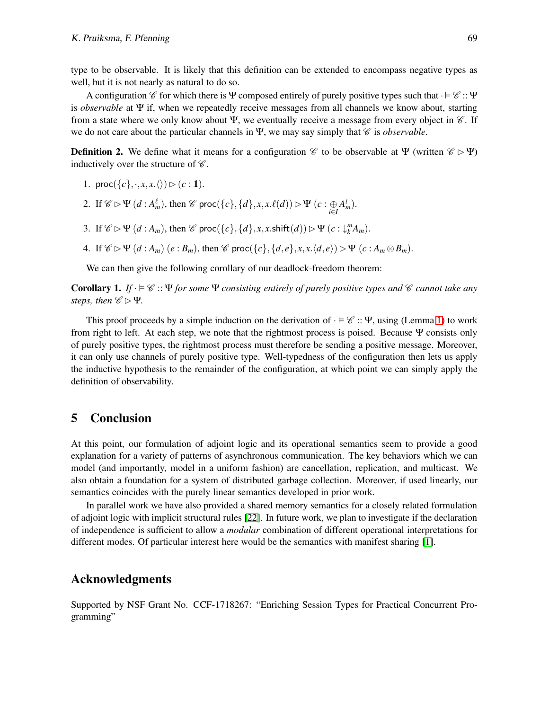type to be observable. It is likely that this definition can be extended to encompass negative types as well, but it is not nearly as natural to do so.

A configuration  $\mathscr C$  for which there is Ψ composed entirely of purely positive types such that  $\cdot \vDash \mathscr C$  :: Ψ is *observable* at Ψ if, when we repeatedly receive messages from all channels we know about, starting from a state where we only know about Ψ, we eventually receive a message from every object in  $\mathscr{C}$ . If we do not care about the particular channels in Ψ, we may say simply that  $\mathscr C$  is *observable*.

**Definition 2.** We define what it means for a configuration  $\mathscr{C}$  to be observable at Ψ (written  $\mathscr{C} \triangleright \Psi$ ) inductively over the structure of  $\mathscr C$ .

- 1. proc( $\{c\}, \cdot, x, x. \langle \rangle$ )  $\triangleright$  (c:1).
- 2. If  $\mathscr{C} \triangleright \Psi$   $(d : A_m^{\ell})$ , then  $\mathscr{C}$  proc $(\{c\}, \{d\}, x, x \cdot \ell(d)) \triangleright \Psi$   $(c : \bigoplus_{i \in I} A_m^i)$ .
- 3. If  $\mathscr{C} \triangleright \Psi$   $(d : A_m)$ , then  $\mathscr{C}$  proc $(\{c\}, \{d\}, x, x. \text{shift}(d)) \triangleright \Psi$   $(c : \downarrow_k^m A_m)$ .
- 4. If  $\mathscr{C} \triangleright \Psi(d : A_m)$   $(e : B_m)$ , then  $\mathscr{C}$  proc $(\{c\}, \{d, e\}, x, x \cdot \langle d, e \rangle) \triangleright \Psi(c : A_m \otimes B_m)$ .

We can then give the following corollary of our deadlock-freedom theorem:

**Corollary 1.** *If*  $\cdot \in \mathcal{C}$  :: Ψ *for some* Ψ *consisting entirely of purely positive types and*  $\mathcal{C}$  *cannot take any steps, then*  $\mathscr{C} \triangleright \Psi$ *.* 

This proof proceeds by a simple induction on the derivation of  $\cdot \vDash \mathscr{C}$  :: Ψ, using (Lemma [1\)](#page-8-0) to work from right to left. At each step, we note that the rightmost process is poised. Because Ψ consists only of purely positive types, the rightmost process must therefore be sending a positive message. Moreover, it can only use channels of purely positive type. Well-typedness of the configuration then lets us apply the inductive hypothesis to the remainder of the configuration, at which point we can simply apply the definition of observability.

### 5 Conclusion

At this point, our formulation of adjoint logic and its operational semantics seem to provide a good explanation for a variety of patterns of asynchronous communication. The key behaviors which we can model (and importantly, model in a uniform fashion) are cancellation, replication, and multicast. We also obtain a foundation for a system of distributed garbage collection. Moreover, if used linearly, our semantics coincides with the purely linear semantics developed in prior work.

In parallel work we have also provided a shared memory semantics for a closely related formulation of adjoint logic with implicit structural rules [\[22\]](#page-11-9). In future work, we plan to investigate if the declaration of independence is sufficient to allow a *modular* combination of different operational interpretations for different modes. Of particular interest here would be the semantics with manifest sharing [\[1\]](#page-10-14).

### Acknowledgments

Supported by NSF Grant No. CCF-1718267: "Enriching Session Types for Practical Concurrent Programming"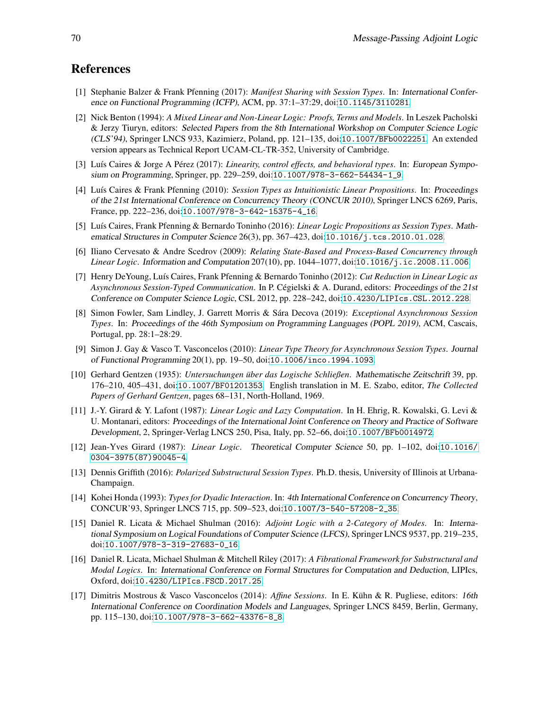## <span id="page-10-14"></span>References

- [1] Stephanie Balzer & Frank Pfenning (2017): *Manifest Sharing with Session Types*. In: International Conference on Functional Programming (ICFP), ACM, pp. 37:1–37:29, doi:[10.1145/3110281](http://dx.doi.org/10.1145/3110281).
- <span id="page-10-4"></span>[2] Nick Benton (1994): *A Mixed Linear and Non-Linear Logic: Proofs, Terms and Models*. In Leszek Pacholski & Jerzy Tiuryn, editors: Selected Papers from the 8th International Workshop on Computer Science Logic (CLS'94), Springer LNCS 933, Kazimierz, Poland, pp. 121–135, doi:[10.1007/BFb0022251](http://dx.doi.org/10.1007/BFb0022251). An extended version appears as Technical Report UCAM-CL-TR-352, University of Cambridge.
- <span id="page-10-9"></span>[3] Luís Caires & Jorge A Pérez (2017): *Linearity, control effects, and behavioral types*. In: *European Sympo*sium on Programming, Springer, pp. 229–259, doi:[10.1007/978-3-662-54434-1\\_9](http://dx.doi.org/10.1007/978-3-662-54434-1_9).
- <span id="page-10-6"></span>[4] Luís Caires & Frank Pfenning (2010): *Session Types as Intuitionistic Linear Propositions*. In: Proceedings of the 21st International Conference on Concurrency Theory (CONCUR 2010), Springer LNCS 6269, Paris, France, pp. 222–236, doi:[10.1007/978-3-642-15375-4\\_16](http://dx.doi.org/10.1007/978-3-642-15375-4_16).
- <span id="page-10-16"></span>[5] Luís Caires, Frank Pfenning & Bernardo Toninho (2016): *Linear Logic Propositions as Session Types*. Mathematical Structures in Computer Science 26(3), pp. 367–423, doi:[10.1016/j.tcs.2010.01.028](http://dx.doi.org/10.1016/j.tcs.2010.01.028).
- <span id="page-10-13"></span>[6] Iliano Cervesato & Andre Scedrov (2009): *Relating State-Based and Process-Based Concurrency through Linear Logic*. Information and Computation 207(10), pp. 1044–1077, doi:[10.1016/j.ic.2008.11.006](http://dx.doi.org/10.1016/j.ic.2008.11.006).
- <span id="page-10-12"></span>[7] Henry DeYoung, Luís Caires, Frank Pfenning & Bernardo Toninho (2012): *Cut Reduction in Linear Logic as* Asynchronous Session-Typed Communication. In P. Cégielski & A. Durand, editors: Proceedings of the 21st Conference on Computer Science Logic, CSL 2012, pp. 228–242, doi:[10.4230/LIPIcs.CSL.2012.228](http://dx.doi.org/10.4230/LIPIcs.CSL.2012.228).
- <span id="page-10-8"></span>[8] Simon Fowler, Sam Lindley, J. Garrett Morris & S´ara Decova (2019): *Exceptional Asynchronous Session Types*. In: Proceedings of the 46th Symposium on Programming Languages (POPL 2019), ACM, Cascais, Portugal, pp. 28:1–28:29.
- <span id="page-10-5"></span>[9] Simon J. Gay & Vasco T. Vasconcelos (2010): *Linear Type Theory for Asynchronous Session Types*. Journal of Functional Programming 20(1), pp. 19–50, doi:[10.1006/inco.1994.1093](http://dx.doi.org/10.1006/inco.1994.1093).
- <span id="page-10-11"></span>[10] Gerhard Gentzen (1935): *Untersuchungen uber das Logische Schließen ¨* . Mathematische Zeitschrift 39, pp. 176–210, 405–431, doi:[10.1007/BF01201353](http://dx.doi.org/10.1007/BF01201353). English translation in M. E. Szabo, editor, *The Collected Papers of Gerhard Gentzen*, pages 68–131, North-Holland, 1969.
- <span id="page-10-3"></span>[11] J.-Y. Girard & Y. Lafont (1987): *Linear Logic and Lazy Computation*. In H. Ehrig, R. Kowalski, G. Levi & U. Montanari, editors: Proceedings of the International Joint Conference on Theory and Practice of Software Development, 2, Springer-Verlag LNCS 250, Pisa, Italy, pp. 52–66, doi:[10.1007/BFb0014972](http://dx.doi.org/10.1007/BFb0014972).
- <span id="page-10-2"></span>[12] Jean-Yves Girard (1987): *Linear Logic*. Theoretical Computer Science 50, pp. 1–102, doi:[10.1016/](http://dx.doi.org/10.1016/0304-3975(87)90045-4) [0304-3975\(87\)90045-4](http://dx.doi.org/10.1016/0304-3975(87)90045-4).
- <span id="page-10-10"></span>[13] Dennis Griffith (2016): *Polarized Substructural Session Types*. Ph.D. thesis, University of Illinois at Urbana-Champaign.
- <span id="page-10-0"></span>[14] Kohei Honda (1993): *Types for Dyadic Interaction*. In: 4th International Conference on Concurrency Theory, CONCUR'93, Springer LNCS 715, pp. 509–523, doi:[10.1007/3-540-57208-2\\_35](http://dx.doi.org/10.1007/3-540-57208-2_35).
- <span id="page-10-1"></span>[15] Daniel R. Licata & Michael Shulman (2016): *Adjoint Logic with a 2-Category of Modes*. In: International Symposium on Logical Foundations of Computer Science (LFCS), Springer LNCS 9537, pp. 219–235, doi:[10.1007/978-3-319-27683-0\\_16](http://dx.doi.org/10.1007/978-3-319-27683-0_16).
- <span id="page-10-15"></span>[16] Daniel R. Licata, Michael Shulman & Mitchell Riley (2017): *A Fibrational Framework for Substructural and Modal Logics*. In: International Conference on Formal Structures for Computation and Deduction, LIPIcs, Oxford, doi:[10.4230/LIPIcs.FSCD.2017.25](http://dx.doi.org/10.4230/LIPIcs.FSCD.2017.25).
- <span id="page-10-7"></span>[17] Dimitris Mostrous & Vasco Vasconcelos (2014): *Affine Sessions*. In E. Kühn & R. Pugliese, editors: 16th International Conference on Coordination Models and Languages, Springer LNCS 8459, Berlin, Germany, pp. 115–130, doi:[10.1007/978-3-662-43376-8\\_8](http://dx.doi.org/10.1007/978-3-662-43376-8_8).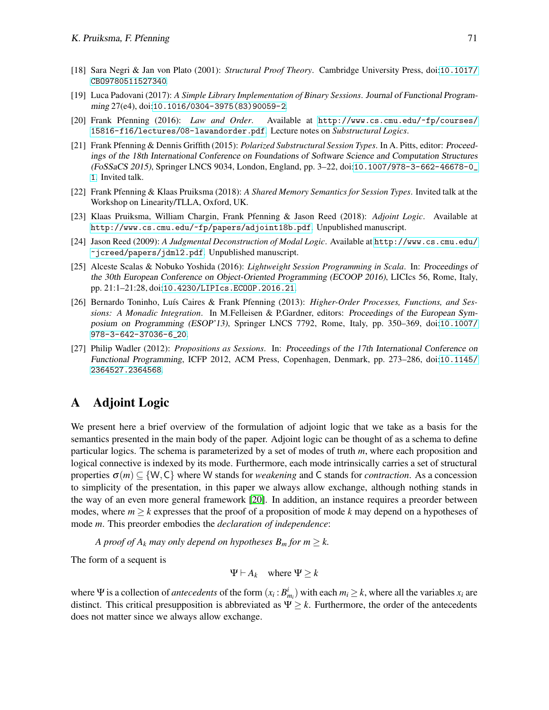- <span id="page-11-6"></span><span id="page-11-3"></span>[18] Sara Negri & Jan von Plato (2001): *Structural Proof Theory*. Cambridge University Press, doi:[10.1017/](http://dx.doi.org/10.1017/CBO9780511527340) [CBO9780511527340](http://dx.doi.org/10.1017/CBO9780511527340).
- [19] Luca Padovani (2017): *A Simple Library Implementation of Binary Sessions*. Journal of Functional Programming 27(e4), doi:[10.1016/0304-3975\(83\)90059-2](http://dx.doi.org/10.1016/0304-3975(83)90059-2).
- <span id="page-11-10"></span>[20] Frank Pfenning (2016): *Law and Order*. Available at [http://www.cs.cmu.edu/~fp/courses/](http://www.cs.cmu.edu/~fp/courses/15816-f16/lectures/08-lawandorder.pdf) [15816-f16/lectures/08-lawandorder.pdf](http://www.cs.cmu.edu/~fp/courses/15816-f16/lectures/08-lawandorder.pdf). Lecture notes on *Substructural Logics*.
- <span id="page-11-4"></span>[21] Frank Pfenning & Dennis Griffith (2015): *Polarized Substructural Session Types*. In A. Pitts, editor: Proceedings of the 18th International Conference on Foundations of Software Science and Computation Structures (FoSSaCS 2015), Springer LNCS 9034, London, England, pp. 3–22, doi:[10.1007/978-3-662-46678-0\\_](http://dx.doi.org/10.1007/978-3-662-46678-0_1) [1](http://dx.doi.org/10.1007/978-3-662-46678-0_1). Invited talk.
- <span id="page-11-9"></span>[22] Frank Pfenning & Klaas Pruiksma (2018): *A Shared Memory Semantics for Session Types*. Invited talk at the Workshop on Linearity/TLLA, Oxford, UK.
- <span id="page-11-1"></span>[23] Klaas Pruiksma, William Chargin, Frank Pfenning & Jason Reed (2018): *Adjoint Logic*. Available at <http://www.cs.cmu.edu/~fp/papers/adjoint18b.pdf>. Unpublished manuscript.
- <span id="page-11-0"></span>[24] Jason Reed (2009): *A Judgmental Deconstruction of Modal Logic*. Available at [http://www.cs.cmu.edu/](http://www.cs.cmu.edu/~jcreed/papers/jdml2.pdf) [~jcreed/papers/jdml2.pdf](http://www.cs.cmu.edu/~jcreed/papers/jdml2.pdf). Unpublished manuscript.
- <span id="page-11-2"></span>[25] Alceste Scalas & Nobuko Yoshida (2016): *Lightweight Session Programming in Scala*. In: Proceedings of the 30th European Conference on Object-Oriented Programming (ECOOP 2016), LICIcs 56, Rome, Italy, pp. 21:1–21:28, doi:[10.4230/LIPIcs.ECOOP.2016.21](http://dx.doi.org/10.4230/LIPIcs.ECOOP.2016.21).
- <span id="page-11-8"></span>[26] Bernardo Toninho, Luís Caires & Frank Pfenning (2013): *Higher-Order Processes, Functions, and Sessions: A Monadic Integration*. In M.Felleisen & P.Gardner, editors: Proceedings of the European Symposium on Programming (ESOP'13), Springer LNCS 7792, Rome, Italy, pp. 350–369, doi:[10.1007/](http://dx.doi.org/10.1007/978-3-642-37036-6_20) [978-3-642-37036-6\\_20](http://dx.doi.org/10.1007/978-3-642-37036-6_20).
- <span id="page-11-5"></span>[27] Philip Wadler (2012): *Propositions as Sessions*. In: Proceedings of the 17th International Conference on Functional Programming, ICFP 2012, ACM Press, Copenhagen, Denmark, pp. 273–286, doi:[10.1145/](http://dx.doi.org/10.1145/2364527.2364568) [2364527.2364568](http://dx.doi.org/10.1145/2364527.2364568).

## <span id="page-11-7"></span>A Adjoint Logic

We present here a brief overview of the formulation of adjoint logic that we take as a basis for the semantics presented in the main body of the paper. Adjoint logic can be thought of as a schema to define particular logics. The schema is parameterized by a set of modes of truth *m*, where each proposition and logical connective is indexed by its mode. Furthermore, each mode intrinsically carries a set of structural properties <sup>σ</sup>(*m*) ⊆ {W,C} where W stands for *weakening* and C stands for *contraction*. As a concession to simplicity of the presentation, in this paper we always allow exchange, although nothing stands in the way of an even more general framework [\[20\]](#page-11-10). In addition, an instance requires a preorder between modes, where  $m \geq k$  expresses that the proof of a proposition of mode k may depend on a hypotheses of mode *m*. This preorder embodies the *declaration of independence*:

*A proof of*  $A_k$  *may only depend on hypotheses*  $B_m$  *for*  $m \geq k$ *.* 

The form of a sequent is

$$
\Psi \vdash A_k \quad \text{where } \Psi \geq k
$$

where  $\Psi$  is a collection of *antecedents* of the form  $(x_i : B_{m_i}^i)$  with each  $m_i \geq k$ , where all the variables  $x_i$  are distinct. This critical presupposition is abbreviated as  $\Psi \geq k$ . Furthermore, the order of the antecedents does not matter since we always allow exchange.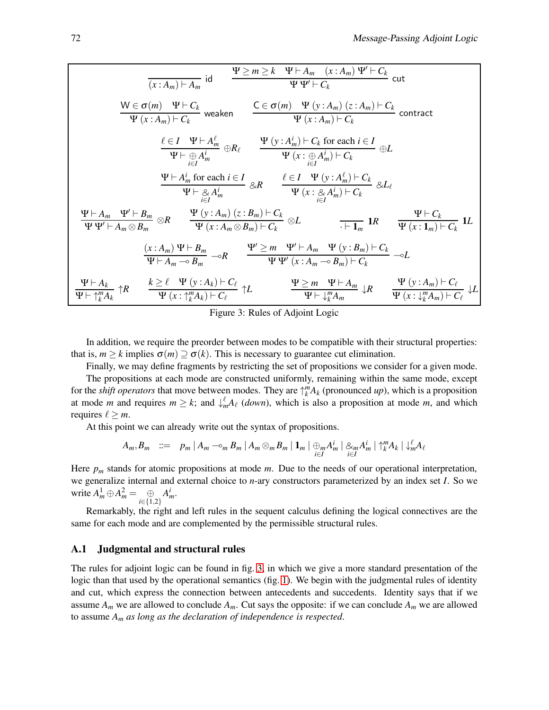<span id="page-12-0"></span>
$$
\frac{\Psi \geq m \geq k \quad \Psi \vdash A_m \quad (x:A_m) \Psi' \vdash C_k}{\Psi \Psi' \vdash C_k} \text{ cut}
$$
\n
$$
\frac{\mathsf{W} \in \sigma(m) \quad \Psi \vdash C_k}{\Psi(x:A_m) \vdash C_k} \text{ weaken} \qquad \frac{\mathsf{C} \in \sigma(m) \quad \Psi(y:A_m) \quad (z:A_m) \vdash C_k}{\Psi(x:A_m) \vdash C_k} \text{ contract}
$$
\n
$$
\frac{\ell \in I \quad \Psi \vdash A_m^{\ell}}{\Psi \vdash \bigoplus A_m^i} \bigoplus R_{\ell} \qquad \frac{\Psi(y:A_m) \vdash C_k \text{ for each } i \in I}{\Psi(x:\bigoplus A_m^i) \vdash C_k} \bigoplus L
$$
\n
$$
\frac{\Psi \vdash A_m^i \text{ for each } i \in I}{\Psi \vdash \bigoplus A_m^i} \bigotimes R_{\ell} \qquad \frac{\ell \in I \quad \Psi(y:A_m^{\ell}) \vdash C_k}{\Psi(x:\bigoplus A_m^i) \vdash C_k} \bigotimes L_{\ell}
$$
\n
$$
\frac{\Psi \vdash A_m \quad \Psi' \vdash B_m}{\Psi \Psi' \vdash A_m \otimes B_m} \otimes R \qquad \frac{\Psi(y:A_m) \quad (z:B_m) \vdash C_k}{\Psi(x:A_m \otimes B_m) \vdash C_k} \otimes L \qquad \frac{\ell \vdash I}{\vdash I_m} \text{ 1R} \qquad \frac{\Psi \vdash C_k}{\Psi(x:\bigoplus A_m^i) \vdash C_k} \text{ 1L}
$$
\n
$$
\frac{(x:A_m) \Psi \vdash B_m}{\Psi \vdash A_m \neg B_m} \neg R \qquad \frac{\Psi' \geq m \quad \Psi' \vdash A_m \quad \Psi(y:B_m) \vdash C_k}{\Psi \Psi' (x:A_m \neg B_m) \vdash C_k} \qquad \neg L
$$
\n
$$
\frac{\Psi \vdash A_k}{\Psi \vdash \biguparrow_{k}^{m} A_k} \uparrow R \qquad \frac{k \geq \ell \quad \Psi(y:A_k) \vdash C_{\ell}}{\Psi(x:\biguparrow_{k}^{m} A_k) \vdash C_{\ell}} \uparrow L \qquad \frac{\Psi \geq m \quad \Psi \vdash A_m}{\Psi \vdash \biguparrow_{k}^{m} A_m} \down
$$

Figure 3: Rules of Adjoint Logic

In addition, we require the preorder between modes to be compatible with their structural properties: that is,  $m \ge k$  implies  $\sigma(m) \supseteq \sigma(k)$ . This is necessary to guarantee cut elimination.

Finally, we may define fragments by restricting the set of propositions we consider for a given mode. The propositions at each mode are constructed uniformly, remaining within the same mode, except for the *shift operators* that move between modes. They are  $\int_{k}^{m} A_k$  (pronounced *up*), which is a proposition at mode *m* and requires  $m \geq k$ ; and  $\int_{m}^{l} A_{\ell}$  (*down*), which is also a proposition at mode *m*, and which requires  $\ell \geq m$ .

At this point we can already write out the syntax of propositions.

$$
A_m, B_m \ ::= \ p_m \mid A_m \negthinspace \negthinspace \negthinspace \negthinspace \negthinspace \negthinspace \negthinspace B_m \mid A_m \otimes_m B_m \mid 1_m \mid \bigoplus_{i \in I} A_m^i \mid \bigotimes_{i \in I} A_m^i \mid \biguparrow_k^m A_k \mid \biguparrow_k^{\ell} A_\ell
$$

Here *p<sup>m</sup>* stands for atomic propositions at mode *m*. Due to the needs of our operational interpretation, we generalize internal and external choice to *n*-ary constructors parameterized by an index set *I*. So we write  $A_m^1 \oplus A_m^2 = \bigoplus_{i \in \{1,2\}}$  $A_m^i$ .

Remarkably, the right and left rules in the sequent calculus defining the logical connectives are the same for each mode and are complemented by the permissible structural rules.

#### A.1 Judgmental and structural rules

The rules for adjoint logic can be found in fig. [3,](#page-12-0) in which we give a more standard presentation of the logic than that used by the operational semantics (fig. [1\)](#page-2-1). We begin with the judgmental rules of identity and cut, which express the connection between antecedents and succedents. Identity says that if we assume  $A_m$  we are allowed to conclude  $A_m$ . Cut says the opposite: if we can conclude  $A_m$  we are allowed to assume *A<sup>m</sup> as long as the declaration of independence is respected*.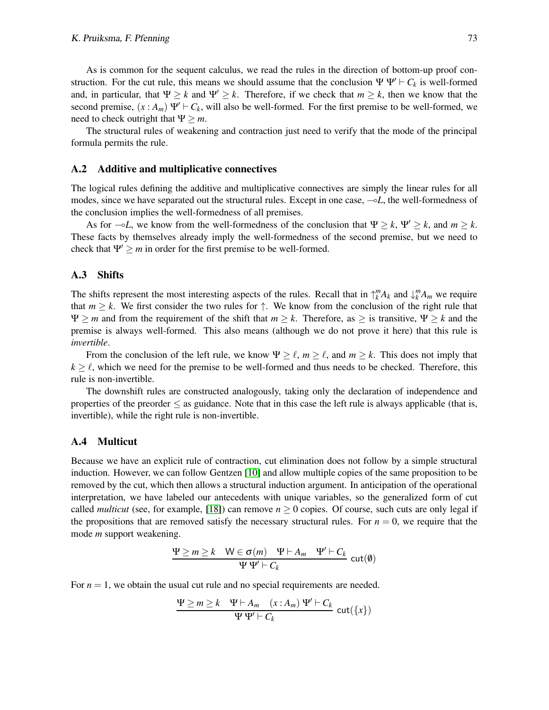As is common for the sequent calculus, we read the rules in the direction of bottom-up proof construction. For the cut rule, this means we should assume that the conclusion  $\Psi \Psi' \vdash C_k$  is well-formed and, in particular, that  $\Psi \geq k$  and  $\Psi' \geq k$ . Therefore, if we check that  $m \geq k$ , then we know that the second premise,  $(x : A_m) \Psi' \vdash C_k$ , will also be well-formed. For the first premise to be well-formed, we need to check outright that  $\Psi \geq m$ .

The structural rules of weakening and contraction just need to verify that the mode of the principal formula permits the rule.

#### A.2 Additive and multiplicative connectives

The logical rules defining the additive and multiplicative connectives are simply the linear rules for all modes, since we have separated out the structural rules. Except in one case, ⊸*L*, the well-formedness of the conclusion implies the well-formedness of all premises.

As for  $\neg L$ , we know from the well-formedness of the conclusion that  $\Psi \geq k$ ,  $\Psi' \geq k$ , and  $m \geq k$ . These facts by themselves already imply the well-formedness of the second premise, but we need to check that  $\Psi' > m$  in order for the first premise to be well-formed.

#### A.3 Shifts

The shifts represent the most interesting aspects of the rules. Recall that in  $\uparrow_k^m A_k$  and  $\downarrow_k^m A_m$  we require that  $m \geq k$ . We first consider the two rules for  $\uparrow$ . We know from the conclusion of the right rule that  $\Psi \geq m$  and from the requirement of the shift that  $m \geq k$ . Therefore, as  $\geq$  is transitive,  $\Psi \geq k$  and the premise is always well-formed. This also means (although we do not prove it here) that this rule is *invertible*.

From the conclusion of the left rule, we know  $\Psi \geq \ell$ ,  $m \geq \ell$ , and  $m \geq k$ . This does not imply that  $k \geq \ell$ , which we need for the premise to be well-formed and thus needs to be checked. Therefore, this rule is non-invertible.

The downshift rules are constructed analogously, taking only the declaration of independence and properties of the preorder  $\leq$  as guidance. Note that in this case the left rule is always applicable (that is, invertible), while the right rule is non-invertible.

#### A.4 Multicut

Because we have an explicit rule of contraction, cut elimination does not follow by a simple structural induction. However, we can follow Gentzen [\[10\]](#page-10-11) and allow multiple copies of the same proposition to be removed by the cut, which then allows a structural induction argument. In anticipation of the operational interpretation, we have labeled our antecedents with unique variables, so the generalized form of cut called *multicut* (see, for example, [\[18\]](#page-11-6)) can remove  $n \ge 0$  copies. Of course, such cuts are only legal if the propositions that are removed satisfy the necessary structural rules. For  $n = 0$ , we require that the mode *m* support weakening.

$$
\frac{\Psi \ge m \ge k \quad W \in \sigma(m) \quad \Psi \vdash A_m \quad \Psi' \vdash C_k}{\Psi \Psi' \vdash C_k} \text{ cut}(\emptyset)
$$

For  $n = 1$ , we obtain the usual cut rule and no special requirements are needed.

$$
\frac{\Psi \ge m \ge k \quad \Psi \vdash A_m \quad (x:A_m) \ \Psi' \vdash C_k}{\Psi \ \Psi' \vdash C_k} \ \text{cut}(\{x\})
$$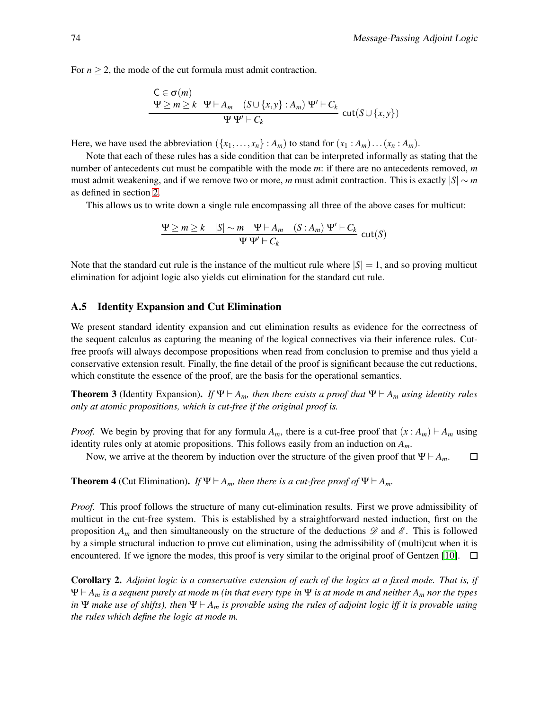For  $n \geq 2$ , the mode of the cut formula must admit contraction.

$$
C \in \sigma(m)
$$
  
\n
$$
\Psi \ge m \ge k \quad \Psi \vdash A_m \quad (S \cup \{x, y\} : A_m) \quad \Psi' \vdash C_k
$$
  
\n
$$
\Psi \Psi' \vdash C_k \quad \text{cut}(S \cup \{x, y\})
$$

Here, we have used the abbreviation  $({x_1, \ldots, x_n} : A_m)$  to stand for  $(x_1 : A_m) \ldots (x_n : A_m)$ .

Note that each of these rules has a side condition that can be interpreted informally as stating that the number of antecedents cut must be compatible with the mode *m*: if there are no antecedents removed, *m* must admit weakening, and if we remove two or more, *m* must admit contraction. This is exactly  $|S| \sim m$ as defined in section [2.](#page-1-0)

This allows us to write down a single rule encompassing all three of the above cases for multicut:

$$
\frac{\Psi \ge m \ge k \quad |S| \sim m \quad \Psi \vdash A_m \quad (S : A_m) \Psi' \vdash C_k}{\Psi \Psi' \vdash C_k} \text{ cut}(S)
$$

Note that the standard cut rule is the instance of the multicut rule where  $|S| = 1$ , and so proving multicut elimination for adjoint logic also yields cut elimination for the standard cut rule.

#### A.5 Identity Expansion and Cut Elimination

We present standard identity expansion and cut elimination results as evidence for the correctness of the sequent calculus as capturing the meaning of the logical connectives via their inference rules. Cutfree proofs will always decompose propositions when read from conclusion to premise and thus yield a conservative extension result. Finally, the fine detail of the proof is significant because the cut reductions, which constitute the essence of the proof, are the basis for the operational semantics.

Theorem 3 (Identity Expansion). *If*  $\Psi \vdash A_m$ *, then there exists a proof that*  $\Psi \vdash A_m$  *using identity rules only at atomic propositions, which is cut-free if the original proof is.*

*Proof.* We begin by proving that for any formula  $A_m$ , there is a cut-free proof that  $(x : A_m) \vdash A_m$  using identity rules only at atomic propositions. This follows easily from an induction on *Am*.

Now, we arrive at the theorem by induction over the structure of the given proof that  $\Psi \vdash A_m$ .  $\Box$ 

<span id="page-14-0"></span>**Theorem 4** (Cut Elimination). *If*  $\Psi \vdash A_m$ *, then there is a cut-free proof of*  $\Psi \vdash A_m$ *.* 

*Proof.* This proof follows the structure of many cut-elimination results. First we prove admissibility of multicut in the cut-free system. This is established by a straightforward nested induction, first on the proposition  $A_m$  and then simultaneously on the structure of the deductions  $\mathscr D$  and  $\mathscr E$ . This is followed by a simple structural induction to prove cut elimination, using the admissibility of (multi)cut when it is encountered. If we ignore the modes, this proof is very similar to the original proof of Gentzen [\[10\]](#page-10-11).  $\Box$ 

Corollary 2. *Adjoint logic is a conservative extension of each of the logics at a fixed mode. That is, if* Ψ ⊢ *A<sup>m</sup> is a sequent purely at mode m (in that every type in* Ψ *is at mode m and neither A<sup>m</sup> nor the types in* Ψ *make use of shifts*), then  $\Psi \vdash A_m$  *is provable using the rules of adjoint logic iff it is provable using the rules which define the logic at mode m.*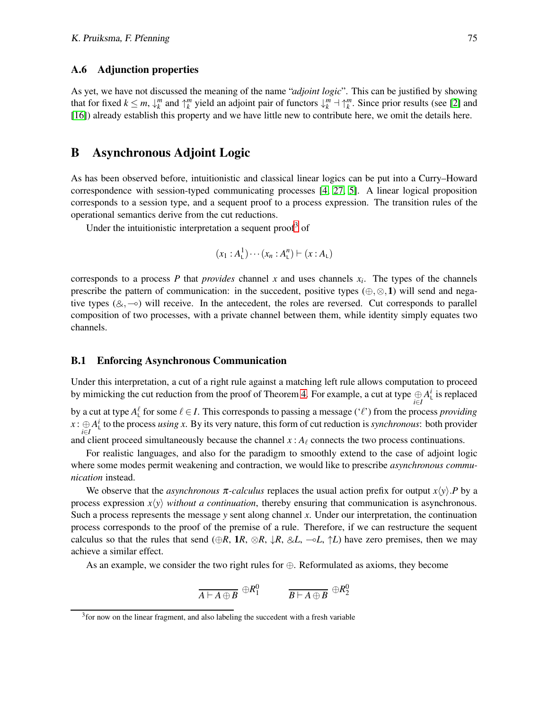#### A.6 Adjunction properties

As yet, we have not discussed the meaning of the name "*adjoint logic*". This can be justified by showing that for fixed  $k \leq m$ ,  $\downarrow_k^m$  and  $\uparrow_k^m$  yield an adjoint pair of functors  $\downarrow_k^m \to \uparrow_k^m$ . Since prior results (see [\[2\]](#page-10-4) and [\[16\]](#page-10-15)) already establish this property and we have little new to contribute here, we omit the details here.

## B Asynchronous Adjoint Logic

As has been observed before, intuitionistic and classical linear logics can be put into a Curry–Howard correspondence with session-typed communicating processes [\[4,](#page-10-6) [27,](#page-11-5) [5\]](#page-10-16). A linear logical proposition corresponds to a session type, and a sequent proof to a process expression. The transition rules of the operational semantics derive from the cut reductions.

Under the intuitionistic interpretation a sequent proof<sup>[3](#page-15-0)</sup> of

$$
(x_1 : A^1_\mathsf{L}) \cdots (x_n : A^n_\mathsf{L}) \vdash (x : A_\mathsf{L})
$$

corresponds to a process  $P$  that *provides* channel  $x$  and uses channels  $x_i$ . The types of the channels prescribe the pattern of communication: in the succedent, positive types  $(\oplus, \otimes, 1)$  will send and negative types  $(\&, \neg)$  will receive. In the antecedent, the roles are reversed. Cut corresponds to parallel composition of two processes, with a private channel between them, while identity simply equates two channels.

#### B.1 Enforcing Asynchronous Communication

Under this interpretation, a cut of a right rule against a matching left rule allows computation to proceed by mimicking the cut reduction from the proof of Theorem [4.](#page-14-0) For example, a cut at type  $\bigoplus_{i\in I}A_1^i$  is replaced by a cut at type  $A_L^{\ell}$  for some  $\ell \in I$ . This corresponds to passing a message  $(\ell^r)$  from the process *providing*  $x: \bigoplus A^i$  to the process *using x*. By its very nature, this form of cut reduction is *synchronous*: both provider and client proceed simultaneously because the channel *x* :  $A_\ell$  connects the two process continuations.

For realistic languages, and also for the paradigm to smoothly extend to the case of adjoint logic where some modes permit weakening and contraction, we would like to prescribe *asynchronous communication* instead.

We observe that the *asynchronous*  $\pi$ -calculus replaces the usual action prefix for output  $x(y)$ . P by a process expression  $x\langle y \rangle$  *without a continuation*, thereby ensuring that communication is asynchronous. Such a process represents the message *y* sent along channel *x*. Under our interpretation, the continuation process corresponds to the proof of the premise of a rule. Therefore, if we can restructure the sequent calculus so that the rules that send (⊕*R*, 1*R*, ⊗*R*,  $\downarrow$ *R*, &*L*, →*L*,  $\uparrow$ *L*) have zero premises, then we may achieve a similar effect.

As an example, we consider the two right rules for  $\oplus$ . Reformulated as axioms, they become

$$
\overline{A \vdash A \oplus B} \ \oplus R_1^0 \qquad \qquad \overline{B \vdash A \oplus B} \ \oplus R_2^0
$$

<span id="page-15-0"></span><sup>&</sup>lt;sup>3</sup> for now on the linear fragment, and also labeling the succedent with a fresh variable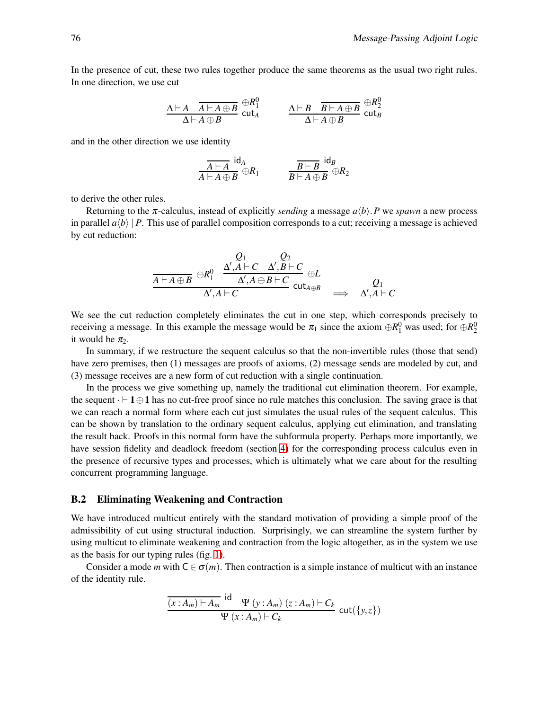In the presence of cut, these two rules together produce the same theorems as the usual two right rules. In one direction, we use cut

$$
\frac{\Delta\vdash A\quadoverline{A\vdash A\oplus B}}{\Delta\vdash A\oplus B}\,\stackrel{\oplus R_1^0}{\text{cut}_A}\qquad\frac{\Delta\vdash B\quadoverline{B\vdash A\oplus B}}{\Delta\vdash A\oplus B}\,\stackrel{\oplus R_2^0}{\text{cut}_B}
$$

and in the other direction we use identity

$$
\frac{\overline{A\vdash A}\,\,\mathrm{id}_A}{A\vdash A\oplus B}\oplus R_1\qquad\qquad\frac{\overline{B\vdash B}\,\,\mathrm{id}_B}{B\vdash A\oplus B}\oplus R_2
$$

to derive the other rules.

Returning to the  $\pi$ -calculus, instead of explicitly *sending* a message  $a\langle b\rangle$ . P we *spawn* a new process in parallel  $a\langle b\rangle | P$ . This use of parallel composition corresponds to a cut; receiving a message is achieved by cut reduction:

$$
\frac{Q_1}{\underline{A\vdash A\oplus B}\oplus R_1^0} \xrightarrow{\Delta',A\vdash C}\xrightarrow{\Delta',B\vdash C}\oplus L}\oplus L
$$
\n
$$
\frac{\Delta',A\vdash C}\Delta',A\oplus B\vdash C}\text{cut}_{A\oplus B}\implies \Delta',A\vdash C
$$

We see the cut reduction completely eliminates the cut in one step, which corresponds precisely to receiving a message. In this example the message would be  $\pi_1$  since the axiom  $\oplus R_1^0$  was used; for  $\oplus R_2^0$ it would be  $\pi_2$ .

In summary, if we restructure the sequent calculus so that the non-invertible rules (those that send) have zero premises, then (1) messages are proofs of axioms, (2) message sends are modeled by cut, and (3) message receives are a new form of cut reduction with a single continuation.

In the process we give something up, namely the traditional cut elimination theorem. For example, the sequent  $\cdot \vdash 1 \oplus 1$  has no cut-free proof since no rule matches this conclusion. The saving grace is that we can reach a normal form where each cut just simulates the usual rules of the sequent calculus. This can be shown by translation to the ordinary sequent calculus, applying cut elimination, and translating the result back. Proofs in this normal form have the subformula property. Perhaps more importantly, we have session fidelity and deadlock freedom (section [4\)](#page-7-0) for the corresponding process calculus even in the presence of recursive types and processes, which is ultimately what we care about for the resulting concurrent programming language.

#### B.2 Eliminating Weakening and Contraction

We have introduced multicut entirely with the standard motivation of providing a simple proof of the admissibility of cut using structural induction. Surprisingly, we can streamline the system further by using multicut to eliminate weakening and contraction from the logic altogether, as in the system we use as the basis for our typing rules (fig. [1\)](#page-2-1).

Consider a mode *m* with  $C \in \sigma(m)$ . Then contraction is a simple instance of multicut with an instance of the identity rule.

$$
\frac{\overline{(x:A_m)\vdash A_m} \text{ id }\Psi(y:A_m)(z:A_m)\vdash C_k}{\Psi(x:A_m)\vdash C_k} \text{ cut}(\{y,z\})
$$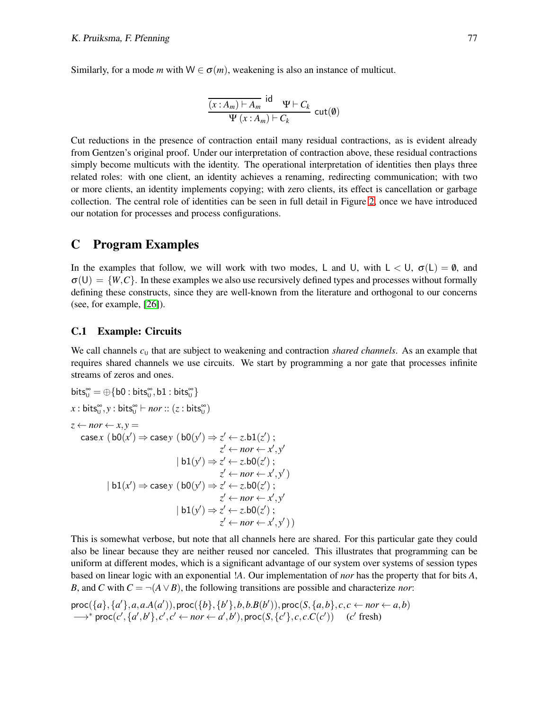Similarly, for a mode *m* with  $W \in \sigma(m)$ , weakening is also an instance of multicut.

$$
\frac{\overline{(x:A_m)\vdash A_m} \text{ id } \Psi \vdash C_k}{\Psi(x:A_m)\vdash C_k} \text{ cut}(\emptyset)
$$

Cut reductions in the presence of contraction entail many residual contractions, as is evident already from Gentzen's original proof. Under our interpretation of contraction above, these residual contractions simply become multicuts with the identity. The operational interpretation of identities then plays three related roles: with one client, an identity achieves a renaming, redirecting communication; with two or more clients, an identity implements copying; with zero clients, its effect is cancellation or garbage collection. The central role of identities can be seen in full detail in Figure [2,](#page-6-0) once we have introduced our notation for processes and process configurations.

### <span id="page-17-0"></span>C Program Examples

In the examples that follow, we will work with two modes, L and U, with  $L < U$ ,  $\sigma(L) = \emptyset$ , and  $\sigma(U) = \{W, C\}$ . In these examples we also use recursively defined types and processes without formally defining these constructs, since they are well-known from the literature and orthogonal to our concerns (see, for example, [\[26\]](#page-11-8)).

#### C.1 Example: Circuits

We call channels  $c<sub>U</sub>$  that are subject to weakening and contraction *shared channels*. As an example that requires shared channels we use circuits. We start by programming a nor gate that processes infinite streams of zeros and ones.

bits<sub>0</sub><sup>∞</sup> = 
$$
\oplus
$$
{b0 : bits<sub>0</sub><sup>∞</sup>, b1 : bits<sub>0</sub><sup>∞</sup>}  
\nx : bits<sub>0</sub><sup>∞</sup>, y : bits<sub>0</sub><sup>∞</sup>  $\vdash$  *nor* :: (z : bits<sub>0</sub><sup>∞</sup>)  
\nz  $\leftarrow$  *nor*  $\leftarrow$  x, y =  
\ncasex (b0(x')  $\Rightarrow$  casey (b0(y')  $\Rightarrow$  z'  $\leftarrow$  z.b1(z');  
\nz'  $\leftarrow$  *nor*  $\leftarrow$  x', y'  
\n|b1(y')  $\Rightarrow$  z'  $\leftarrow$  z.b0(z');  
\nz'  $\leftarrow$  *nor*  $\leftarrow$  x', y'  
\n|b1(x')  $\Rightarrow$  casey (b0(y')  $\Rightarrow$  z'  $\leftarrow$  z.b0(z');  
\nz'  $\leftarrow$  *nor*  $\leftarrow$  x', y'  
\n|b1(y')  $\Rightarrow$  z'  $\leftarrow$  z.b0(z');  
\nz'  $\leftarrow$  *nor*  $\leftarrow$  x', y')  
\n|b1(y')  $\Rightarrow$  z'  $\leftarrow$  z.b0(z');  
\nz'  $\leftarrow$  *nor*  $\leftarrow$  x', y'))

This is somewhat verbose, but note that all channels here are shared. For this particular gate they could also be linear because they are neither reused nor canceled. This illustrates that programming can be uniform at different modes, which is a significant advantage of our system over systems of session types based on linear logic with an exponential !*A*. Our implementation of *nor* has the property that for bits *A*, *B*, and *C* with  $C = \neg(A \lor B)$ , the following transitions are possible and characterize *nor*:

$$
\text{proc}(\{a\}, \{a'\}, a, a.A(a')), \text{proc}(\{b\}, \{b'\}, b, b.B(b')), \text{proc}(S, \{a, b\}, c, c \leftarrow nor \leftarrow a, b) \\ \longrightarrow^* \text{proc}(c', \{a', b'\}, c', c' \leftarrow nor \leftarrow a', b'), \text{proc}(S, \{c'\}, c, c.C(c')) \quad (c' \text{ fresh})
$$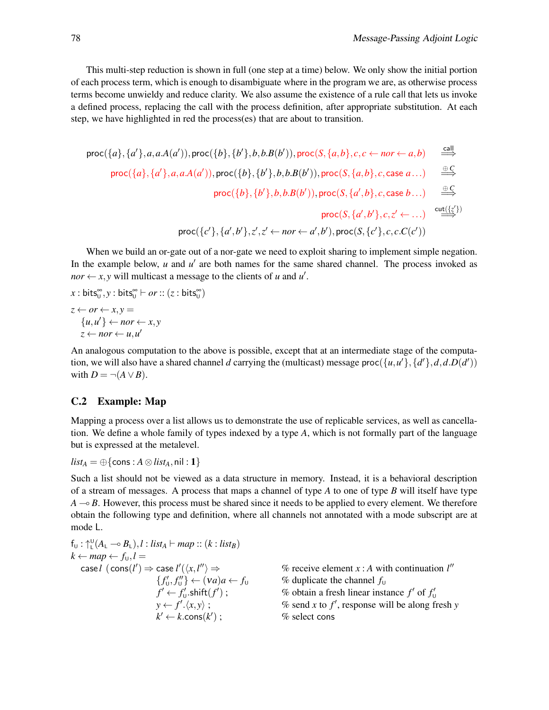This multi-step reduction is shown in full (one step at a time) below. We only show the initial portion of each process term, which is enough to disambiguate where in the program we are, as otherwise process terms become unwieldy and reduce clarity. We also assume the existence of a rule call that lets us invoke a defined process, replacing the call with the process definition, after appropriate substitution. At each step, we have highlighted in red the process(es) that are about to transition.

$$
\text{proc}(\{a\}, \{a'\}, a, a.A(a')), \text{proc}(\{b\}, \{b'\}, b, b.B(b')), \text{proc}(S, \{a, b\}, c, c \leftarrow nor \leftarrow a, b) \implies
$$
\n
$$
\text{proc}(\{a\}, \{a'\}, a, a.A(a')), \text{proc}(\{b\}, \{b'\}, b, b.B(b')), \text{proc}(S, \{a, b\}, c, \text{case } a...)) \implies
$$
\n
$$
\text{proc}(\{b\}, \{b'\}, b, b.B(b')), \text{proc}(S, \{a', b\}, c, \text{case } b...)) \implies
$$
\n
$$
\text{proc}(\{b\}, \{b'\}, b, b.B(b')), \text{proc}(S, \{a', b\}, c, \text{case } b...)) \implies
$$
\n
$$
\text{proc}(\{c'\}, \{a', b'\}, z', z' \leftarrow nor \leftarrow a', b'), \text{proc}(S, \{c'\}, c, c.C(c')) \implies
$$

When we build an or-gate out of a nor-gate we need to exploit sharing to implement simple negation. In the example below,  $u$  and  $u'$  are both names for the same shared channel. The process invoked as *nor*  $\leftarrow$  *x*, *y* will multicast a message to the clients of *u* and *u'*.

 $x : \text{bits}_{\text{U}}^{\infty}, y : \text{bits}_{\text{U}}^{\infty} \vdash or :: (z : \text{bits}_{\text{U}}^{\infty})$  $z \leftarrow or \leftarrow x, y =$  ${u, u' \} \leftarrow nor \leftarrow x, y$  $z \leftarrow nor \leftarrow u, u'$ 

An analogous computation to the above is possible, except that at an intermediate stage of the computation, we will also have a shared channel *d* carrying the (multicast) message proc( $\{u, u'\}, \{d'\}, d, d.D(d')\}$ with  $D = \neg(A \lor B)$ .

#### C.2 Example: Map

Mapping a process over a list allows us to demonstrate the use of replicable services, as well as cancellation. We define a whole family of types indexed by a type *A*, which is not formally part of the language but is expressed at the metalevel.

$$
list_A = \bigoplus \{ \text{cons} : A \otimes list_A, \text{nil} : 1 \}
$$

Such a list should not be viewed as a data structure in memory. Instead, it is a behavioral description of a stream of messages. A process that maps a channel of type *A* to one of type *B* will itself have type *A* → *B*. However, this process must be shared since it needs to be applied to every element. We therefore obtain the following type and definition, where all channels not annotated with a mode subscript are at mode L.

$$
f_{U}: \uparrow_{L}^{U}(A_{L} \rightarrow B_{L}), l: list_{A} \vdash map :: (k: list_{B})
$$
\n
$$
k \leftarrow map \leftarrow f_{U}, l =
$$
\n
$$
\text{case } l \text{ (cons}(l') \Rightarrow \text{case } l'(\langle x, l'' \rangle \Rightarrow \text{ % receive element } x : A \text{ with continuation } l''
$$
\n
$$
\{f'_{U}, f''_{U}\} \leftarrow (va)a \leftarrow f_{U} \text{ % duplicate the channel } f_{U}
$$
\n
$$
f' \leftarrow f'_{U}.shift(f') ; \text{ % obtain a fresh linear instance } f' \text{ of } f'_{U}
$$
\n
$$
y \leftarrow f'.\langle x, y \rangle ; \text{ % send } x \text{ to } f', \text{ response will be along fresh } y
$$
\n
$$
k' \leftarrow k.\text{cons}(k') ; \text{ % select cons}
$$